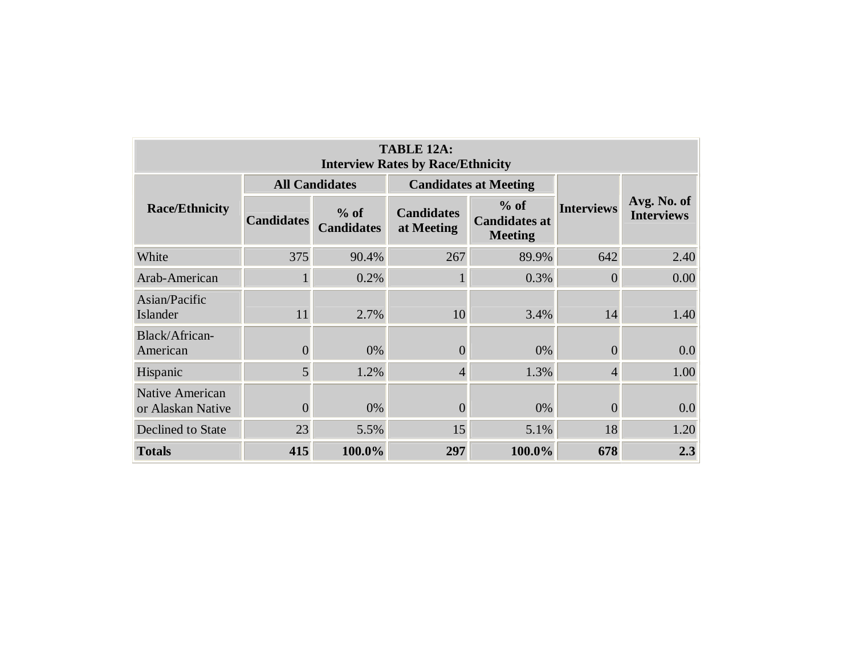| TABLE 12A:<br><b>Interview Rates by Race/Ethnicity</b> |                   |                             |                                 |                                                  |                   |                                  |  |  |  |  |  |  |
|--------------------------------------------------------|-------------------|-----------------------------|---------------------------------|--------------------------------------------------|-------------------|----------------------------------|--|--|--|--|--|--|
| <b>Race/Ethnicity</b>                                  |                   | <b>All Candidates</b>       |                                 | <b>Candidates at Meeting</b>                     |                   | Avg. No. of<br><b>Interviews</b> |  |  |  |  |  |  |
|                                                        | <b>Candidates</b> | $%$ of<br><b>Candidates</b> | <b>Candidates</b><br>at Meeting | $%$ of<br><b>Candidates at</b><br><b>Meeting</b> | <b>Interviews</b> |                                  |  |  |  |  |  |  |
| White                                                  | 375               | 90.4%                       | 267                             | 89.9%                                            | 642               | 2.40                             |  |  |  |  |  |  |
| Arab-American                                          | 1                 | 0.2%                        |                                 | 0.3%                                             | $\theta$          | 0.00                             |  |  |  |  |  |  |
| Asian/Pacific<br>Islander                              | 11                | 2.7%                        | 10                              | 3.4%                                             | 14                | 1.40                             |  |  |  |  |  |  |
| Black/African-<br>American                             | $\overline{0}$    | 0%                          | $\theta$                        | 0%                                               | $\theta$          | 0.0                              |  |  |  |  |  |  |
| Hispanic                                               | 5 <sup>1</sup>    | 1.2%                        | 4                               | 1.3%                                             | $\overline{4}$    | 1.00                             |  |  |  |  |  |  |
| Native American<br>or Alaskan Native                   | $\overline{0}$    | 0%                          | $\overline{0}$                  | 0%                                               | $\Omega$          | 0.0                              |  |  |  |  |  |  |
| Declined to State                                      | 23                | 5.5%                        | 15                              | 5.1%                                             | 18                | 1.20                             |  |  |  |  |  |  |
| <b>Totals</b>                                          | 415               | 100.0%                      | 297                             | 100.0%                                           | 678               | 2.3                              |  |  |  |  |  |  |